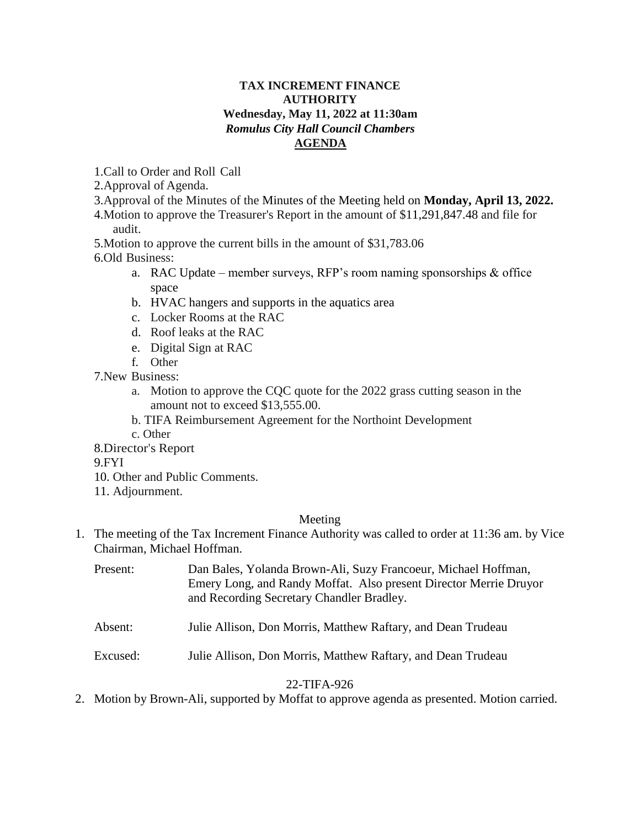# **TAX INCREMENT FINANCE AUTHORITY Wednesday, May 11, 2022 at 11:30am** *Romulus City Hall Council Chambers* **AGENDA**

1.Call to Order and Roll Call

2.Approval of Agenda.

- 3.Approval of the Minutes of the Minutes of the Meeting held on **Monday, April 13, 2022.**
- 4.Motion to approve the Treasurer's Report in the amount of \$11,291,847.48 and file for audit.

5.Motion to approve the current bills in the amount of \$31,783.06

- 6.Old Business:
	- a. RAC Update member surveys, RFP's room naming sponsorships & office space
	- b. HVAC hangers and supports in the aquatics area
	- c. Locker Rooms at the RAC
	- d. Roof leaks at the RAC
	- e. Digital Sign at RAC
	- f. Other
- 7.New Business:
	- a. Motion to approve the CQC quote for the 2022 grass cutting season in the amount not to exceed \$13,555.00.
	- b. TIFA Reimbursement Agreement for the Northoint Development
	- c. Other
- 8.Director's Report

9.FYI

- 10. Other and Public Comments.
- 11. Adjournment.

# Meeting

1. The meeting of the Tax Increment Finance Authority was called to order at 11:36 am. by Vice Chairman, Michael Hoffman.

| Present: | Dan Bales, Yolanda Brown-Ali, Suzy Francoeur, Michael Hoffman,    |
|----------|-------------------------------------------------------------------|
|          | Emery Long, and Randy Moffat. Also present Director Merrie Druyor |
|          | and Recording Secretary Chandler Bradley.                         |
|          |                                                                   |

- Absent: Julie Allison, Don Morris, Matthew Raftary, and Dean Trudeau
- Excused: Julie Allison, Don Morris, Matthew Raftary, and Dean Trudeau

# 22-TIFA-926

2. Motion by Brown-Ali, supported by Moffat to approve agenda as presented. Motion carried.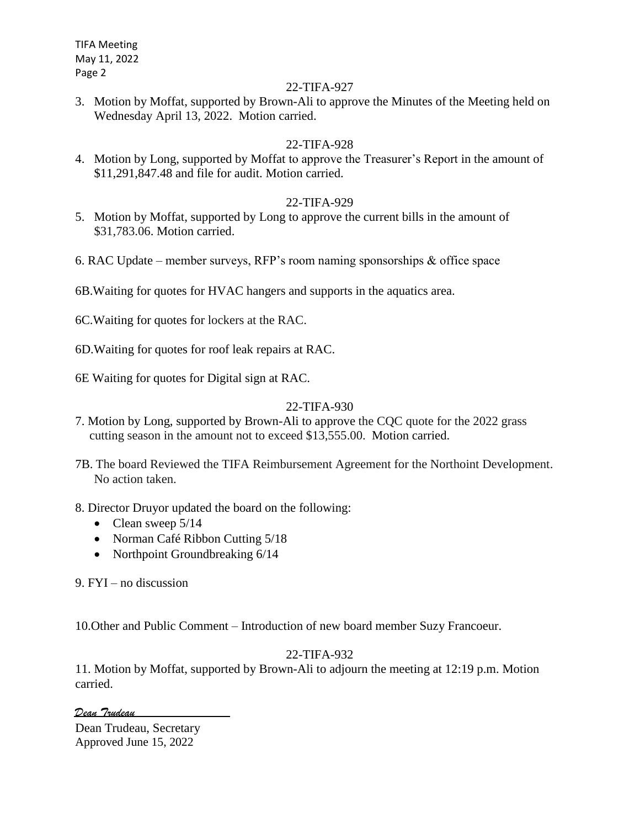TIFA Meeting May 11, 2022 Page 2

#### 22-TIFA-927

3. Motion by Moffat, supported by Brown-Ali to approve the Minutes of the Meeting held on Wednesday April 13, 2022. Motion carried.

# 22-TIFA-928

4. Motion by Long, supported by Moffat to approve the Treasurer's Report in the amount of \$11,291,847.48 and file for audit. Motion carried.

# 22-TIFA-929

- 5. Motion by Moffat, supported by Long to approve the current bills in the amount of \$31,783.06. Motion carried.
- 6. RAC Update member surveys, RFP's room naming sponsorships & office space
- 6B.Waiting for quotes for HVAC hangers and supports in the aquatics area.
- 6C.Waiting for quotes for lockers at the RAC.
- 6D.Waiting for quotes for roof leak repairs at RAC.
- 6E Waiting for quotes for Digital sign at RAC.

# 22-TIFA-930

- 7. Motion by Long, supported by Brown-Ali to approve the CQC quote for the 2022 grass cutting season in the amount not to exceed \$13,555.00. Motion carried.
- 7B. The board Reviewed the TIFA Reimbursement Agreement for the Northoint Development. No action taken.
- 8. Director Druyor updated the board on the following:
	- Clean sweep  $5/14$
	- Norman Café Ribbon Cutting 5/18
	- Northpoint Groundbreaking  $6/14$

9. FYI – no discussion

10.Other and Public Comment – Introduction of new board member Suzy Francoeur.

# 22-TIFA-932

11. Motion by Moffat, supported by Brown-Ali to adjourn the meeting at 12:19 p.m. Motion carried.

*Dean Trudeau*

Dean Trudeau, Secretary Approved June 15, 2022